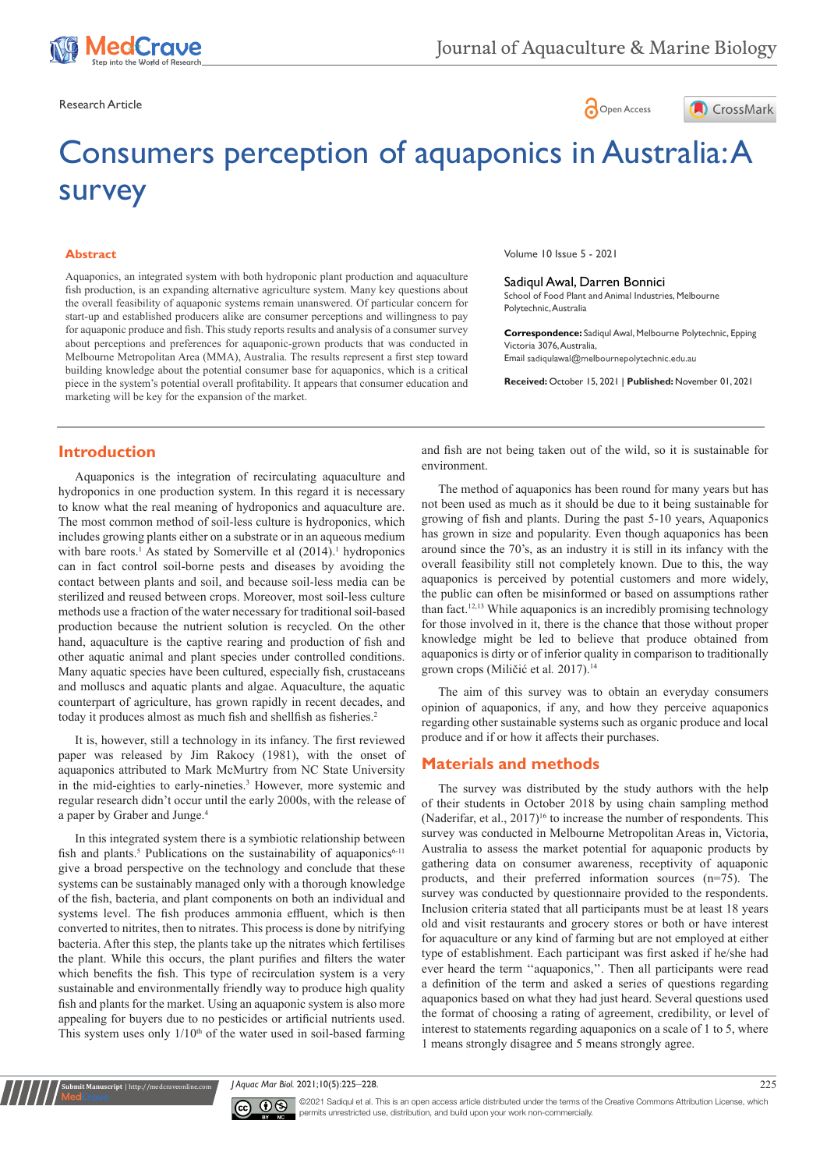





# Consumers perception of aquaponics in Australia: A survey

### **Abstract**

Aquaponics, an integrated system with both hydroponic plant production and aquaculture fish production, is an expanding alternative agriculture system. Many key questions about the overall feasibility of aquaponic systems remain unanswered. Of particular concern for start-up and established producers alike are consumer perceptions and willingness to pay for aquaponic produce and fish. This study reports results and analysis of a consumer survey about perceptions and preferences for aquaponic-grown products that was conducted in Melbourne Metropolitan Area (MMA), Australia. The results represent a first step toward building knowledge about the potential consumer base for aquaponics, which is a critical piece in the system's potential overall profitability. It appears that consumer education and marketing will be key for the expansion of the market.

# **Introduction**

Aquaponics is the integration of recirculating aquaculture and hydroponics in one production system. In this regard it is necessary to know what the real meaning of hydroponics and aquaculture are. The most common method of soil-less culture is hydroponics, which includes growing plants either on a substrate or in an aqueous medium with bare roots.<sup>1</sup> As stated by Somerville et al  $(2014)$ .<sup>1</sup> hydroponics can in fact control soil-borne pests and diseases by avoiding the contact between plants and soil, and because soil-less media can be sterilized and reused between crops. Moreover, most soil-less culture methods use a fraction of the water necessary for traditional soil-based production because the nutrient solution is recycled. On the other hand, aquaculture is the captive rearing and production of fish and other aquatic animal and plant species under controlled conditions. Many aquatic species have been cultured, especially fish, crustaceans and molluscs and aquatic plants and algae. Aquaculture, the aquatic counterpart of agriculture, has grown rapidly in recent decades, and today it produces almost as much fish and shellfish as fisheries.<sup>2</sup>

It is, however, still a technology in its infancy. The first reviewed paper was released by Jim Rakocy (1981), with the onset of aquaponics attributed to Mark McMurtry from NC State University in the mid-eighties to early-nineties.<sup>3</sup> However, more systemic and regular research didn't occur until the early 2000s, with the release of a paper by Graber and Junge.4

In this integrated system there is a symbiotic relationship between fish and plants.<sup>5</sup> Publications on the sustainability of aquaponics<sup>6-11</sup> give a broad perspective on the technology and conclude that these systems can be sustainably managed only with a thorough knowledge of the fish, bacteria, and plant components on both an individual and systems level. The fish produces ammonia effluent, which is then converted to nitrites, then to nitrates. This process is done by nitrifying bacteria. After this step, the plants take up the nitrates which fertilises the plant. While this occurs, the plant purifies and filters the water which benefits the fish. This type of recirculation system is a very sustainable and environmentally friendly way to produce high quality fish and plants for the market. Using an aquaponic system is also more appealing for buyers due to no pesticides or artificial nutrients used. This system uses only  $1/10<sup>th</sup>$  of the water used in soil-based farming Volume 10 Issue 5 - 2021

Sadiqul Awal, Darren Bonnici School of Food Plant and Animal Industries, Melbourne Polytechnic, Australia

**Correspondence:** Sadiqul Awal, Melbourne Polytechnic, Epping Victoria 3076, Australia, Email sadiqulawal@melbournepolytechnic.edu.au

**Received:** October 15, 2021 | **Published:** November 01, 2021

and fish are not being taken out of the wild, so it is sustainable for environment.

The method of aquaponics has been round for many years but has not been used as much as it should be due to it being sustainable for growing of fish and plants. During the past 5-10 years, Aquaponics has grown in size and popularity. Even though aquaponics has been around since the 70's, as an industry it is still in its infancy with the overall feasibility still not completely known. Due to this, the way aquaponics is perceived by potential customers and more widely, the public can often be misinformed or based on assumptions rather than fact.12,13 While aquaponics is an incredibly promising technology for those involved in it, there is the chance that those without proper knowledge might be led to believe that produce obtained from aquaponics is dirty or of inferior quality in comparison to traditionally grown crops (Miličić et al. 2017).<sup>14</sup>

The aim of this survey was to obtain an everyday consumers opinion of aquaponics, if any, and how they perceive aquaponics regarding other sustainable systems such as organic produce and local produce and if or how it affects their purchases.

# **Materials and methods**

The survey was distributed by the study authors with the help of their students in October 2018 by using chain sampling method (Naderifar, et al.,  $2017$ <sup>16</sup> to increase the number of respondents. This survey was conducted in Melbourne Metropolitan Areas in, Victoria, Australia to assess the market potential for aquaponic products by gathering data on consumer awareness, receptivity of aquaponic products, and their preferred information sources (n=75). The survey was conducted by questionnaire provided to the respondents. Inclusion criteria stated that all participants must be at least 18 years old and visit restaurants and grocery stores or both or have interest for aquaculture or any kind of farming but are not employed at either type of establishment. Each participant was first asked if he/she had ever heard the term ''aquaponics,''. Then all participants were read a definition of the term and asked a series of questions regarding aquaponics based on what they had just heard. Several questions used the format of choosing a rating of agreement, credibility, or level of interest to statements regarding aquaponics on a scale of 1 to 5, where 1 means strongly disagree and 5 means strongly agree.

*J Aquac Mar Biol.* 2021;10(5):225‒228. 225



**nit Manuscript** | http://medcraveonline.c

©2021 Sadiqul et al. This is an open access article distributed under the terms of the [Creative Commons Attribution License,](https://creativecommons.org/licenses/by-nc/4.0/) which permits unrestricted use, distribution, and build upon your work non-commercially.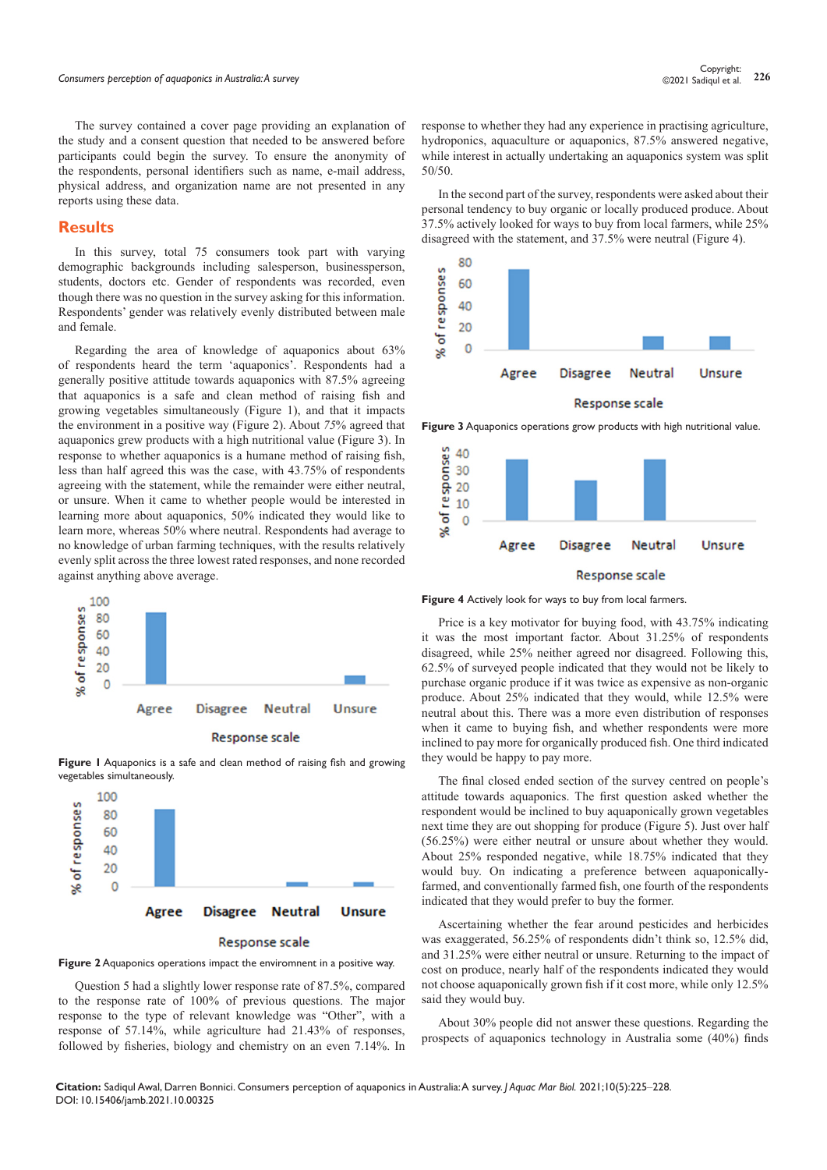The survey contained a cover page providing an explanation of the study and a consent question that needed to be answered before participants could begin the survey. To ensure the anonymity of the respondents, personal identifiers such as name, e-mail address, physical address, and organization name are not presented in any reports using these data.

## **Results**

In this survey, total 75 consumers took part with varying demographic backgrounds including salesperson, businessperson, students, doctors etc. Gender of respondents was recorded, even though there was no question in the survey asking for this information. Respondents' gender was relatively evenly distributed between male and female.

Regarding the area of knowledge of aquaponics about 63% of respondents heard the term 'aquaponics'. Respondents had a generally positive attitude towards aquaponics with 87.5% agreeing that aquaponics is a safe and clean method of raising fish and growing vegetables simultaneously (Figure 1), and that it impacts the environment in a positive way (Figure 2). About *75*% agreed that aquaponics grew products with a high nutritional value (Figure 3). In response to whether aquaponics is a humane method of raising fish, less than half agreed this was the case, with 43.75% of respondents agreeing with the statement, while the remainder were either neutral, or unsure. When it came to whether people would be interested in learning more about aquaponics, 50% indicated they would like to learn more, whereas 50% where neutral. Respondents had average to no knowledge of urban farming techniques, with the results relatively evenly split across the three lowest rated responses, and none recorded against anything above average.



**Figure 1** Aquaponics is a safe and clean method of raising fish and growing vegetables simultaneously.



#### **Response scale**

## **Figure 2** Aquaponics operations impact the enviromnent in a positive way.

Question 5 had a slightly lower response rate of 87.5%, compared to the response rate of 100% of previous questions. The major response to the type of relevant knowledge was "Other", with a response of 57.14%, while agriculture had 21.43% of responses, followed by fisheries, biology and chemistry on an even 7.14%. In

response to whether they had any experience in practising agriculture, hydroponics, aquaculture or aquaponics, 87.5% answered negative, while interest in actually undertaking an aquaponics system was split 50/50.

In the second part of the survey, respondents were asked about their personal tendency to buy organic or locally produced produce. About 37.5% actively looked for ways to buy from local farmers, while 25% disagreed with the statement, and 37.5% were neutral (Figure 4).



**Figure 3** Aquaponics operations grow products with high nutritional value.



**Figure 4** Actively look for ways to buy from local farmers.

Price is a key motivator for buying food, with 43.75% indicating it was the most important factor. About 31.25% of respondents disagreed, while 25% neither agreed nor disagreed. Following this, 62.5% of surveyed people indicated that they would not be likely to purchase organic produce if it was twice as expensive as non-organic produce. About 25% indicated that they would, while 12.5% were neutral about this. There was a more even distribution of responses when it came to buying fish, and whether respondents were more inclined to pay more for organically produced fish. One third indicated they would be happy to pay more.

The final closed ended section of the survey centred on people's attitude towards aquaponics. The first question asked whether the respondent would be inclined to buy aquaponically grown vegetables next time they are out shopping for produce (Figure 5). Just over half (56.25%) were either neutral or unsure about whether they would. About 25% responded negative, while 18.75% indicated that they would buy. On indicating a preference between aquaponicallyfarmed, and conventionally farmed fish, one fourth of the respondents indicated that they would prefer to buy the former.

Ascertaining whether the fear around pesticides and herbicides was exaggerated, 56.25% of respondents didn't think so, 12.5% did, and 31.25% were either neutral or unsure. Returning to the impact of cost on produce, nearly half of the respondents indicated they would not choose aquaponically grown fish if it cost more, while only 12.5% said they would buy.

About 30% people did not answer these questions. Regarding the prospects of aquaponics technology in Australia some (40%) finds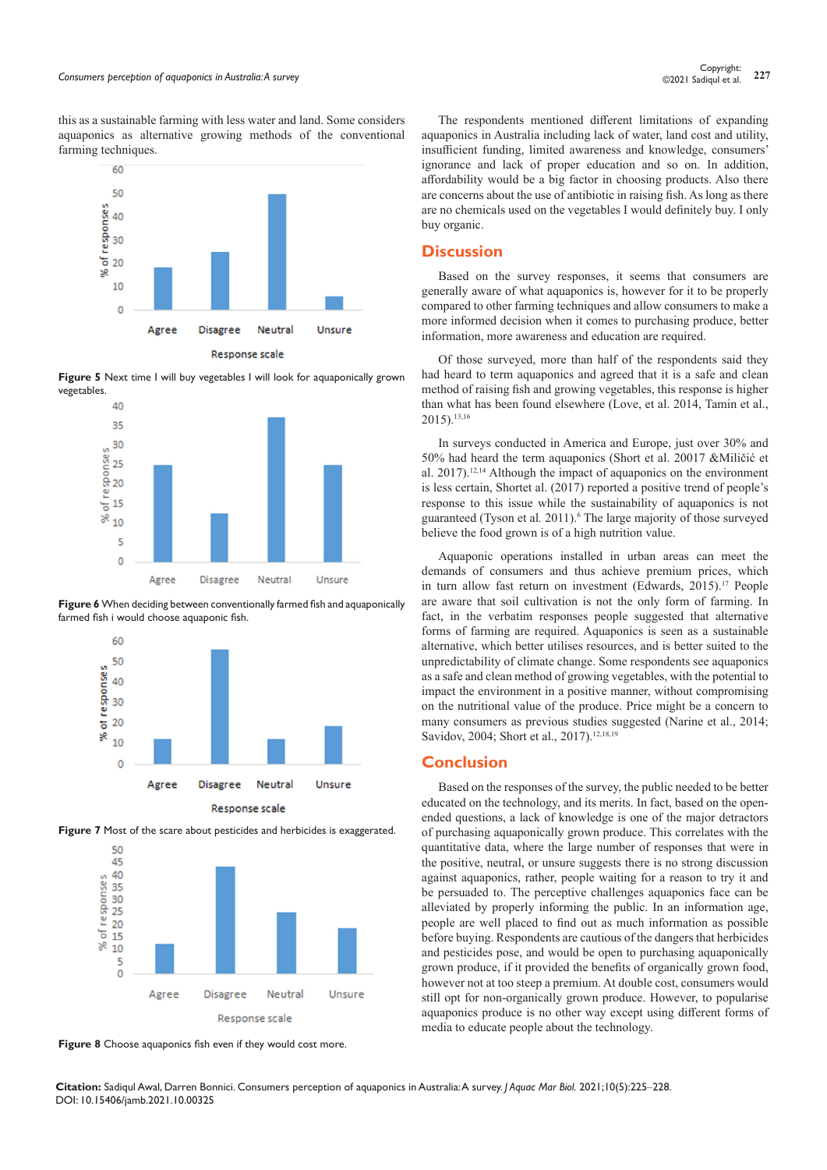this as a sustainable farming with less water and land. Some considers aquaponics as alternative growing methods of the conventional farming techniques.



**Figure 5** Next time I will buy vegetables I will look for aquaponically grown vegetables.



**Figure 6** When deciding between conventionally farmed fish and aquaponically farmed fish i would choose aquaponic fish.





**Figure 7** Most of the scare about pesticides and herbicides is exaggerated.

**Figure 8** Choose aquaponics fish even if they would cost more.

The respondents mentioned different limitations of expanding aquaponics in Australia including lack of water, land cost and utility, insufficient funding, limited awareness and knowledge, consumers' ignorance and lack of proper education and so on. In addition, affordability would be a big factor in choosing products. Also there are concerns about the use of antibiotic in raising fish. As long as there are no chemicals used on the vegetables I would definitely buy. I only buy organic.

## **Discussion**

Based on the survey responses, it seems that consumers are generally aware of what aquaponics is, however for it to be properly compared to other farming techniques and allow consumers to make a more informed decision when it comes to purchasing produce, better information, more awareness and education are required.

Of those surveyed, more than half of the respondents said they had heard to term aquaponics and agreed that it is a safe and clean method of raising fish and growing vegetables, this response is higher than what has been found elsewhere (Love, et al. 2014, Tamin et al., 2015).13,16

In surveys conducted in America and Europe, just over 30% and 50% had heard the term aquaponics (Short et al. 20017 &Miličić et al. 2017).12,14 Although the impact of aquaponics on the environment is less certain, Shortet al. (2017) reported a positive trend of people's response to this issue while the sustainability of aquaponics is not guaranteed (Tyson et al. 2011).<sup>6</sup> The large majority of those surveyed believe the food grown is of a high nutrition value.

Aquaponic operations installed in urban areas can meet the demands of consumers and thus achieve premium prices, which in turn allow fast return on investment (Edwards, 2015).<sup>17</sup> People are aware that soil cultivation is not the only form of farming. In fact, in the verbatim responses people suggested that alternative forms of farming are required. Aquaponics is seen as a sustainable alternative, which better utilises resources, and is better suited to the unpredictability of climate change. Some respondents see aquaponics as a safe and clean method of growing vegetables, with the potential to impact the environment in a positive manner, without compromising on the nutritional value of the produce. Price might be a concern to many consumers as previous studies suggested (Narine et al., 2014; Savidov, 2004; Short et al., 2017).<sup>12,18,19</sup>

## **Conclusion**

Based on the responses of the survey, the public needed to be better educated on the technology, and its merits. In fact, based on the openended questions, a lack of knowledge is one of the major detractors of purchasing aquaponically grown produce. This correlates with the quantitative data, where the large number of responses that were in the positive, neutral, or unsure suggests there is no strong discussion against aquaponics, rather, people waiting for a reason to try it and be persuaded to. The perceptive challenges aquaponics face can be alleviated by properly informing the public. In an information age, people are well placed to find out as much information as possible before buying. Respondents are cautious of the dangers that herbicides and pesticides pose, and would be open to purchasing aquaponically grown produce, if it provided the benefits of organically grown food, however not at too steep a premium. At double cost, consumers would still opt for non-organically grown produce. However, to popularise aquaponics produce is no other way except using different forms of media to educate people about the technology.

**Citation:** Sadiqul Awal, Darren Bonnici. Consumers perception of aquaponics in Australia: A survey. *J Aquac Mar Biol.* 2021;10(5):225‒228. DOI: [10.15406/jamb.2021.10.00325](https://doi.org/10.15406/jamb.2021.10.00325)